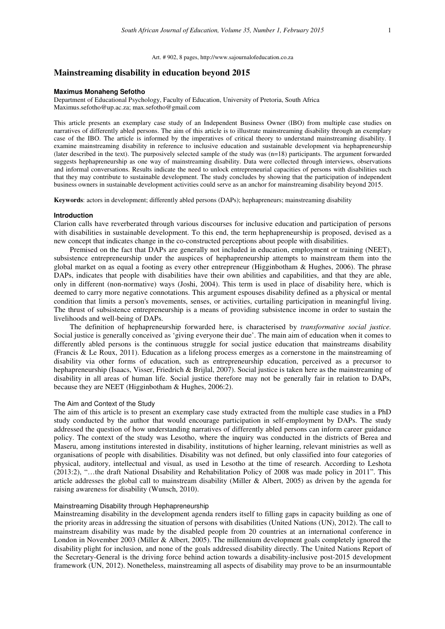Art. # 902, 8 pages, http://www.sajournalofeducation.co.za

# **Mainstreaming disability in education beyond 2015**

#### **Maximus Monaheng Sefotho**

Department of Educational Psychology, Faculty of Education, University of Pretoria, South Africa Maximus.sefotho@up.ac.za; max.sefotho@gmail.com

This article presents an exemplary case study of an Independent Business Owner (IBO) from multiple case studies on narratives of differently abled persons. The aim of this article is to illustrate mainstreaming disability through an exemplary case of the IBO. The article is informed by the imperatives of critical theory to understand mainstreaming disability. I examine mainstreaming disability in reference to inclusive education and sustainable development via hephapreneurship (later described in the text). The purposively selected sample of the study was (n=18) participants. The argument forwarded suggests hephapreneurship as one way of mainstreaming disability. Data were collected through interviews, observations and informal conversations. Results indicate the need to unlock entrepreneurial capacities of persons with disabilities such that they may contribute to sustainable development. The study concludes by showing that the participation of independent business owners in sustainable development activities could serve as an anchor for mainstreaming disability beyond 2015.

**Keywords**: actors in development; differently abled persons (DAPs); hephapreneurs; mainstreaming disability

#### **Introduction**

Clarion calls have reverberated through various discourses for inclusive education and participation of persons with disabilities in sustainable development. To this end, the term hephapreneurship is proposed, devised as a new concept that indicates change in the co-constructed perceptions about people with disabilities.

Premised on the fact that DAPs are generally not included in education, employment or training (NEET), subsistence entrepreneurship under the auspices of hephapreneurship attempts to mainstream them into the global market on as equal a footing as every other entrepreneur (Higginbotham & Hughes, 2006). The phrase DAPs, indicates that people with disabilities have their own abilities and capabilities, and that they are able, only in different (non-normative) ways (Joshi, 2004). This term is used in place of disability here, which is deemed to carry more negative connotations. This argument espouses disability defined as a physical or mental condition that limits a person's movements, senses, or activities, curtailing participation in meaningful living. The thrust of subsistence entrepreneurship is a means of providing subsistence income in order to sustain the livelihoods and well-being of DAPs.

The definition of hephapreneurship forwarded here, is characterised by *transformative social justice.*  Social justice is generally conceived as 'giving everyone their due'. The main aim of education when it comes to differently abled persons is the continuous struggle for social justice education that mainstreams disability (Francis & Le Roux, 2011). Education as a lifelong process emerges as a cornerstone in the mainstreaming of disability via other forms of education, such as entrepreneurship education, perceived as a precursor to hephapreneurship (Isaacs, Visser, Friedrich & Brijlal, 2007). Social justice is taken here as the mainstreaming of disability in all areas of human life. Social justice therefore may not be generally fair in relation to DAPs, because they are NEET (Higginbotham & Hughes, 2006:2).

## The Aim and Context of the Study

The aim of this article is to present an exemplary case study extracted from the multiple case studies in a PhD study conducted by the author that would encourage participation in self-employment by DAPs. The study addressed the question of how understanding narratives of differently abled persons can inform career guidance policy. The context of the study was Lesotho, where the inquiry was conducted in the districts of Berea and Maseru, among institutions interested in disability, institutions of higher learning, relevant ministries as well as organisations of people with disabilities. Disability was not defined, but only classified into four categories of physical, auditory, intellectual and visual, as used in Lesotho at the time of research. According to Leshota (2013:2), "…the draft National Disability and Rehabilitation Policy of 2008 was made policy in 2011". This article addresses the global call to mainstream disability (Miller & Albert, 2005) as driven by the agenda for raising awareness for disability (Wunsch, 2010).

## Mainstreaming Disability through Hephapreneurship

Mainstreaming disability in the development agenda renders itself to filling gaps in capacity building as one of the priority areas in addressing the situation of persons with disabilities (United Nations (UN), 2012). The call to mainstream disability was made by the disabled people from 20 countries at an international conference in London in November 2003 (Miller & Albert, 2005). The millennium development goals completely ignored the disability plight for inclusion, and none of the goals addressed disability directly. The United Nations Report of the Secretary-General is the driving force behind action towards a disability-inclusive post-2015 development framework (UN, 2012). Nonetheless, mainstreaming all aspects of disability may prove to be an insurmountable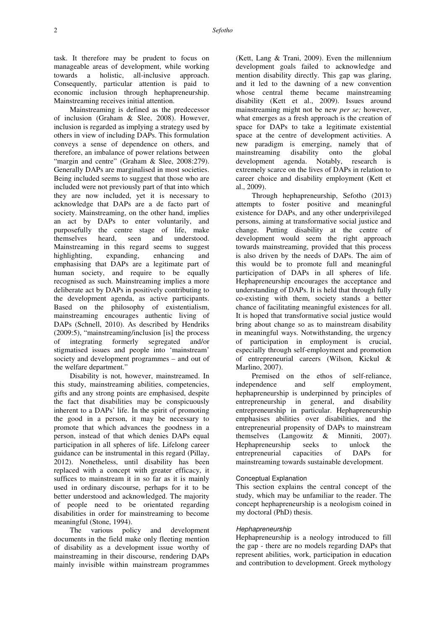task. It therefore may be prudent to focus on manageable areas of development, while working towards a holistic, all-inclusive approach. Consequently, particular attention is paid to economic inclusion through hephapreneurship. Mainstreaming receives initial attention.

Mainstreaming is defined as the predecessor of inclusion (Graham & Slee, 2008). However, inclusion is regarded as implying a strategy used by others in view of including DAPs. This formulation conveys a sense of dependence on others, and therefore, an imbalance of power relations between "margin and centre" (Graham & Slee, 2008:279). Generally DAPs are marginalised in most societies. Being included seems to suggest that those who are included were not previously part of that into which they are now included, yet it is necessary to acknowledge that DAPs are a de facto part of society. Mainstreaming, on the other hand, implies an act by DAPs to enter voluntarily, and purposefully the centre stage of life, make themselves heard, seen and understood. Mainstreaming in this regard seems to suggest highlighting, expanding, enhancing and emphasising that DAPs are a legitimate part of human society, and require to be equally recognised as such. Mainstreaming implies a more deliberate act by DAPs in positively contributing to the development agenda, as active participants. Based on the philosophy of existentialism, mainstreaming encourages authentic living of DAPs (Schnell, 2010). As described by Hendriks (2009:5), "mainstreaming/inclusion [is] the process of integrating formerly segregated and/or stigmatised issues and people into 'mainstream' society and development programmes – and out of the welfare department."

Disability is not, however, mainstreamed. In this study, mainstreaming abilities, competencies, gifts and any strong points are emphasised, despite the fact that disabilities may be conspicuously inherent to a DAPs' life. In the spirit of promoting the good in a person, it may be necessary to promote that which advances the goodness in a person, instead of that which denies DAPs equal participation in all spheres of life. Lifelong career guidance can be instrumental in this regard (Pillay, 2012). Nonetheless, until disability has been replaced with a concept with greater efficacy, it suffices to mainstream it in so far as it is mainly used in ordinary discourse, perhaps for it to be better understood and acknowledged. The majority of people need to be orientated regarding disabilities in order for mainstreaming to become meaningful (Stone, 1994).

The various policy and development documents in the field make only fleeting mention of disability as a development issue worthy of mainstreaming in their discourse, rendering DAPs mainly invisible within mainstream programmes

(Kett, Lang & Trani, 2009). Even the millennium development goals failed to acknowledge and mention disability directly. This gap was glaring, and it led to the dawning of a new convention whose central theme became mainstreaming disability (Kett et al., 2009). Issues around mainstreaming might not be new *per se;* however, what emerges as a fresh approach is the creation of space for DAPs to take a legitimate existential space at the centre of development activities. A new paradigm is emerging, namely that of mainstreaming disability onto the global development agenda. Notably, research is extremely scarce on the lives of DAPs in relation to career choice and disability employment (Kett et al., 2009).

Through hephapreneurship, Sefotho (2013) attempts to foster positive and meaningful existence for DAPs, and any other underprivileged persons, aiming at transformative social justice and change. Putting disability at the centre of development would seem the right approach towards mainstreaming, provided that this process is also driven by the needs of DAPs. The aim of this would be to promote full and meaningful participation of DAPs in all spheres of life. Hephapreneurship encourages the acceptance and understanding of DAPs. It is held that through fully co-existing with them, society stands a better chance of facilitating meaningful existences for all. It is hoped that transformative social justice would bring about change so as to mainstream disability in meaningful ways. Notwithstanding, the urgency of participation in employment is crucial, especially through self-employment and promotion of entrepreneurial careers (Wilson, Kickul & Marlino, 2007).

Premised on the ethos of self-reliance, independence and self employment, hephapreneurship is underpinned by principles of entrepreneurship in general, and disability entrepreneurship in particular. Hephapreneurship emphasises abilities over disabilities, and the entrepreneurial propensity of DAPs to mainstream themselves (Langowitz & Minniti, 2007). Hephapreneurship seeks to unlock the entrepreneurial capacities of DAPs for mainstreaming towards sustainable development.

## Conceptual Explanation

This section explains the central concept of the study, which may be unfamiliar to the reader. The concept hephapreneurship is a neologism coined in my doctoral (PhD) thesis.

## Hephapreneurship

Hephapreneurship is a neology introduced to fill the gap - there are no models regarding DAPs that represent abilities, work, participation in education and contribution to development. Greek mythology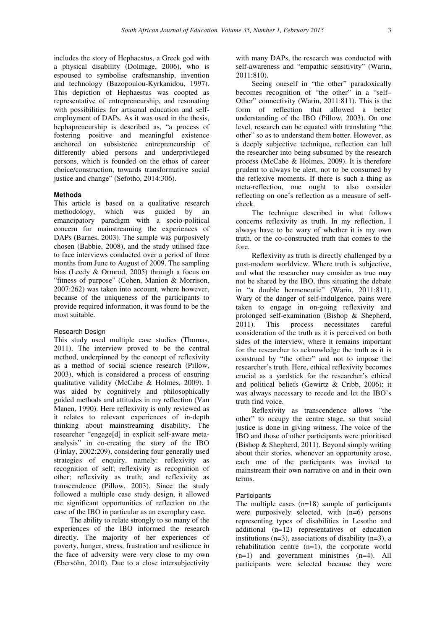includes the story of Hephaestus, a Greek god with a physical disability (Dolmage, 2006), who is espoused to symbolise craftsmanship, invention and technology (Bazopoulou-Kyrkanidou, 1997). This depiction of Hephaestus was coopted as representative of entrepreneurship, and resonating with possibilities for artisanal education and selfemployment of DAPs. As it was used in the thesis, hephapreneurship is described as, "a process of fostering positive and meaningful existence anchored on subsistence entrepreneurship of differently abled persons and underprivileged persons, which is founded on the ethos of career choice/construction, towards transformative social justice and change" (Sefotho, 2014:306).

## **Methods**

This article is based on a qualitative research methodology, which was guided by an emancipatory paradigm with a socio-political concern for mainstreaming the experiences of DAPs (Barnes, 2003). The sample was purposively chosen (Babbie, 2008), and the study utilised face to face interviews conducted over a period of three months from June to August of 2009. The sampling bias (Leedy & Ormrod, 2005) through a focus on "fitness of purpose" (Cohen, Manion & Morrison, 2007:262) was taken into account, where however, because of the uniqueness of the participants to provide required information, it was found to be the most suitable.

## Research Design

This study used multiple case studies (Thomas, 2011). The interview proved to be the central method, underpinned by the concept of reflexivity as a method of social science research (Pillow, 2003), which is considered a process of ensuring qualitative validity (McCabe & Holmes, 2009). I was aided by cognitively and philosophically guided methods and attitudes in my reflection (Van Manen, 1990). Here reflexivity is only reviewed as it relates to relevant experiences of in-depth thinking about mainstreaming disability. The researcher "engage[d] in explicit self-aware metaanalysis" in co-creating the story of the IBO (Finlay, 2002:209), considering four generally used strategies of enquiry, namely: reflexivity as recognition of self; reflexivity as recognition of other; reflexivity as truth; and reflexivity as transcendence (Pillow, 2003). Since the study followed a multiple case study design, it allowed me significant opportunities of reflection on the case of the IBO in particular as an exemplary case.

The ability to relate strongly to so many of the experiences of the IBO informed the research directly. The majority of her experiences of poverty, hunger, stress, frustration and resilience in the face of adversity were very close to my own (Ebersöhn, 2010). Due to a close intersubjectivity

with many DAPs, the research was conducted with self-awareness and "empathic sensitivity" (Warin, 2011:810).

Seeing oneself in "the other" paradoxically becomes recognition of "the other" in a "self– Other" connectivity (Warin, 2011:811). This is the form of reflection that allowed a better understanding of the IBO (Pillow, 2003). On one level, research can be equated with translating "the other" so as to understand them better. However, as a deeply subjective technique, reflection can lull the researcher into being subsumed by the research process (McCabe & Holmes, 2009). It is therefore prudent to always be alert, not to be consumed by the reflexive moments. If there is such a thing as meta-reflection, one ought to also consider reflecting on one's reflection as a measure of selfcheck.

The technique described in what follows concerns reflexivity as truth. In my reflection, I always have to be wary of whether it is my own truth, or the co-constructed truth that comes to the fore.

Reflexivity as truth is directly challenged by a post-modern worldview. Where truth is subjective, and what the researcher may consider as true may not be shared by the IBO, thus situating the debate in "a double hermeneutic" (Warin, 2011:811). Wary of the danger of self-indulgence, pains were taken to engage in on-going reflexivity and prolonged self-examination (Bishop & Shepherd, 2011). This process necessitates careful consideration of the truth as it is perceived on both sides of the interview, where it remains important for the researcher to acknowledge the truth as it is construed by "the other" and not to impose the researcher's truth. Here, ethical reflexivity becomes crucial as a yardstick for the researcher's ethical and political beliefs (Gewirtz & Cribb, 2006); it was always necessary to recede and let the IBO's truth find voice.

Reflexivity as transcendence allows "the other" to occupy the centre stage, so that social justice is done in giving witness. The voice of the IBO and those of other participants were prioritised (Bishop & Shepherd, 2011). Beyond simply writing about their stories, whenever an opportunity arose, each one of the participants was invited to mainstream their own narrative on and in their own terms.

## **Participants**

The multiple cases  $(n=18)$  sample of participants were purposively selected, with  $(n=6)$  persons representing types of disabilities in Lesotho and additional (n=12) representatives of education institutions  $(n=3)$ , associations of disability  $(n=3)$ , a rehabilitation centre (n=1), the corporate world (n=1) and government ministries (n=4). All participants were selected because they were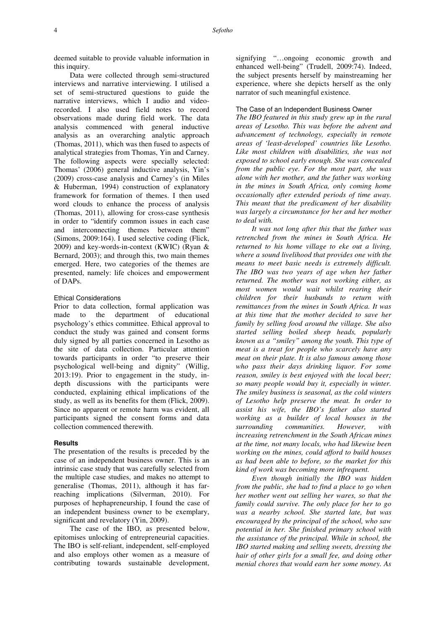deemed suitable to provide valuable information in this inquiry.

Data were collected through semi-structured interviews and narrative interviewing. I utilised a set of semi-structured questions to guide the narrative interviews, which I audio and videorecorded. I also used field notes to record observations made during field work. The data analysis commenced with general inductive analysis as an overarching analytic approach (Thomas, 2011), which was then fused to aspects of analytical strategies from Thomas, Yin and Carney. The following aspects were specially selected: Thomas' (2006) general inductive analysis, Yin's (2009) cross-case analysis and Carney's (in Miles & Huberman, 1994) construction of explanatory framework for formation of themes. I then used word clouds to enhance the process of analysis (Thomas, 2011), allowing for cross-case synthesis in order to "identify common issues in each case and interconnecting themes between them" (Simons, 2009:164). I used selective coding (Flick, 2009) and key-words-in-context (KWIC) (Ryan & Bernard, 2003); and through this, two main themes emerged. Here, two categories of the themes are presented, namely: life choices and empowerment of DAPs.

## Ethical Considerations

Prior to data collection, formal application was made to the department of educational psychology's ethics committee. Ethical approval to conduct the study was gained and consent forms duly signed by all parties concerned in Lesotho as the site of data collection. Particular attention towards participants in order "to preserve their psychological well-being and dignity" (Willig, 2013:19). Prior to engagement in the study, indepth discussions with the participants were conducted, explaining ethical implications of the study, as well as its benefits for them (Flick, 2009). Since no apparent or remote harm was evident, all participants signed the consent forms and data collection commenced therewith.

## **Results**

The presentation of the results is preceded by the case of an independent business owner. This is an intrinsic case study that was carefully selected from the multiple case studies, and makes no attempt to generalise (Thomas, 2011), although it has farreaching implications (Silverman, 2010). For purposes of hephapreneurship, I found the case of an independent business owner to be exemplary, significant and revelatory (Yin, 2009).

The case of the IBO, as presented below, epitomises unlocking of entrepreneurial capacities. The IBO is self-reliant, independent, self-employed and also employs other women as a measure of contributing towards sustainable development, signifying "…ongoing economic growth and enhanced well-being" (Trudell, 2009:74). Indeed, the subject presents herself by mainstreaming her experience, where she depicts herself as the only narrator of such meaningful existence.

## The Case of an Independent Business Owner

*The IBO featured in this study grew up in the rural areas of Lesotho. This was before the advent and advancement of technology, especially in remote areas of 'least-developed' countries like Lesotho. Like most children with disabilities, she was not exposed to school early enough. She was concealed from the public eye. For the most part, she was alone with her mother, and the father was working in the mines in South Africa, only coming home occasionally after extended periods of time away. This meant that the predicament of her disability was largely a circumstance for her and her mother to deal with.* 

*It was not long after this that the father was retrenched from the mines in South Africa. He returned to his home village to eke out a living, where a sound livelihood that provides one with the means to meet basic needs is extremely difficult. The IBO was two years of age when her father returned. The mother was not working either, as most women would wait whilst rearing their children for their husbands to return with remittances from the mines in South Africa. It was at this time that the mother decided to save her family by selling food around the village. She also started selling boiled sheep heads, popularly known as a "smiley" among the youth. This type of meat is a treat for people who scarcely have any meat on their plate. It is also famous among those who pass their days drinking liquor. For some reason, smiley is best enjoyed with the local beer; so many people would buy it, especially in winter. The smiley business is seasonal, as the cold winters of Lesotho help preserve the meat. In order to assist his wife, the IBO's father also started working as a builder of local houses in the surrounding communities. However, with increasing retrenchment in the South African mines at the time, not many locals, who had likewise been working on the mines, could afford to build houses as had been able to before, so the market for this kind of work was becoming more infrequent.* 

*Even though initially the IBO was hidden from the public, she had to find a place to go when her mother went out selling her wares, so that the family could survive. The only place for her to go was a nearby school. She started late, but was encouraged by the principal of the school, who saw potential in her. She finished primary school with the assistance of the principal. While in school, the IBO started making and selling sweets, dressing the hair of other girls for a small fee, and doing other menial chores that would earn her some money. As*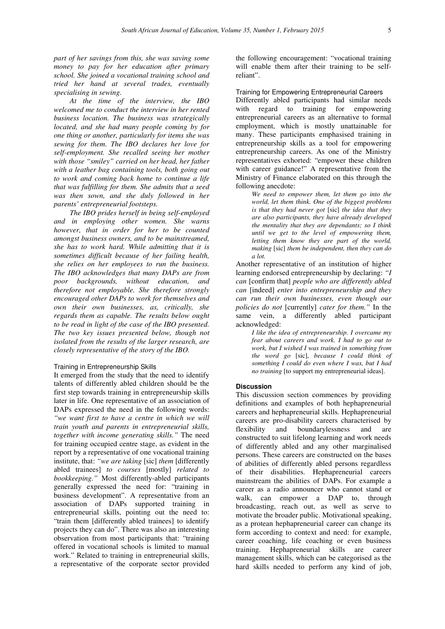*part of her savings from this, she was saving some money to pay for her education after primary school. She joined a vocational training school and tried her hand at several trades, eventually specialising in sewing.* 

*At the time of the interview, the IBO welcomed me to conduct the interview in her rented business location. The business was strategically located, and she had many people coming by for one thing or another, particularly for items she was sewing for them. The IBO declares her love for self-employment. She recalled seeing her mother with those "smiley" carried on her head, her father with a leather bag containing tools, both going out to work and coming back home to continue a life that was fulfilling for them. She admits that a seed was then sown, and she duly followed in her parents' entrepreneurial footsteps.* 

*The IBO prides herself in being self-employed and in employing other women. She warns however, that in order for her to be counted amongst business owners, and to be mainstreamed, she has to work hard. While admitting that it is sometimes difficult because of her failing health, she relies on her employees to run the business. The IBO acknowledges that many DAPs are from poor backgrounds, without education, and therefore not employable. She therefore strongly encouraged other DAPs to work for themselves and own their own businesses, as, critically, she regards them as capable. The results below ought to be read in light of the case of the IBO presented. The two key issues presented below, though not isolated from the results of the larger research, are closely representative of the story of the IBO.* 

### Training in Entrepreneurship Skills

It emerged from the study that the need to identify talents of differently abled children should be the first step towards training in entrepreneurship skills later in life. One representative of an association of DAPs expressed the need in the following words: *"we want first to have a centre in which we will train youth and parents in entrepreneurial skills, together with income generating skills."* The need for training occupied centre stage, as evident in the report by a representative of one vocational training institute, that: *"we are taking* [sic] *them* [differently abled trainees] *to courses* [mostly] *related to bookkeeping."* Most differently-abled participants generally expressed the need for: "training in business development". A representative from an association of DAPs supported training in entrepreneurial skills, pointing out the need to: "train them [differently abled trainees] to identify projects they can do". There was also an interesting observation from most participants that: "training offered in vocational schools is limited to manual work." Related to training in entrepreneurial skills, a representative of the corporate sector provided the following encouragement: "vocational training will enable them after their training to be selfreliant".

Training for Empowering Entrepreneurial Careers Differently abled participants had similar needs with regard to training for empowering entrepreneurial careers as an alternative to formal employment, which is mostly unattainable for many. These participants emphasised training in entrepreneurship skills as a tool for empowering entrepreneurship careers. As one of the Ministry representatives exhorted: "empower these children with career guidance!" A representative from the Ministry of Finance elaborated on this through the following anecdote:

*We need to empower them, let them go into the world, let them think. One of the biggest problems is that they had never got* [sic] *the idea that they are also participants, they have already developed the mentality that they are dependants; so I think until we get to the level of empowering them, letting them know they are part of the world, making* [sic] *them be independent, then they can do a lot.* 

Another representative of an institution of higher learning endorsed entrepreneurship by declaring: *"I can* [confirm that] *people who are differently abled can* [indeed] *enter into entrepreneurship and they can run their own businesses, even though our policies do not* [currently] *cater for them."* In the same vein, a differently abled participant acknowledged:

*I like the idea of entrepreneurship. I overcame my fear about careers and work. I had to go out to work, but I wished I was trained in something from the word go* [sic], *because I could think of something I could do even where I was, but I had no training* [to support my entrepreneurial ideas].

#### **Discussion**

This discussion section commences by providing definitions and examples of both hephapreneurial careers and hephapreneurial skills. Hephapreneurial careers are pro-disability careers characterised by flexibility and boundarylessness and are constructed to suit lifelong learning and work needs of differently abled and any other marginalised persons. These careers are constructed on the bases of abilities of differently abled persons regardless of their disabilities. Hephapreneurial careers mainstream the abilities of DAPs. For example a career as a radio announcer who cannot stand or walk, can empower a DAP to, through broadcasting, reach out, as well as serve to motivate the broader public. Motivational speaking, as a protean hephapreneurial career can change its form according to context and need: for example, career coaching, life coaching or even business training. Hephapreneurial skills are career management skills, which can be categorised as the hard skills needed to perform any kind of job,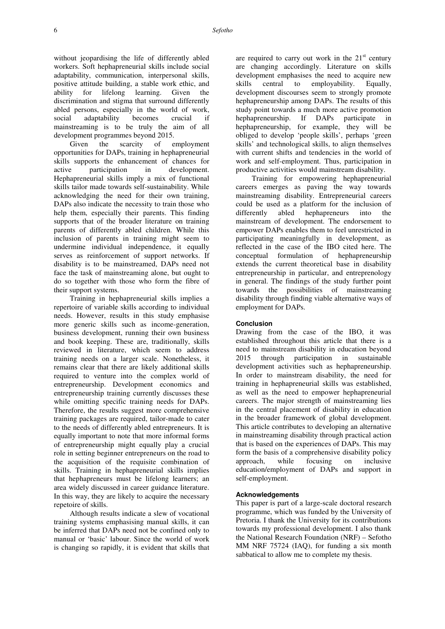without jeopardising the life of differently abled workers. Soft hephapreneurial skills include social adaptability, communication, interpersonal skills, positive attitude building, a stable work ethic, and ability for lifelong learning. Given the discrimination and stigma that surround differently abled persons, especially in the world of work, social adaptability becomes crucial if mainstreaming is to be truly the aim of all development programmes beyond 2015.

Given the scarcity of employment opportunities for DAPs, training in hephapreneurial skills supports the enhancement of chances for active participation in development. Hephapreneurial skills imply a mix of functional skills tailor made towards self-sustainability. While acknowledging the need for their own training, DAPs also indicate the necessity to train those who help them, especially their parents. This finding supports that of the broader literature on training parents of differently abled children. While this inclusion of parents in training might seem to undermine individual independence, it equally serves as reinforcement of support networks. If disability is to be mainstreamed, DAPs need not face the task of mainstreaming alone, but ought to do so together with those who form the fibre of their support systems.

Training in hephapreneurial skills implies a repertoire of variable skills according to individual needs. However, results in this study emphasise more generic skills such as income-generation, business development, running their own business and book keeping. These are, traditionally, skills reviewed in literature, which seem to address training needs on a larger scale. Nonetheless, it remains clear that there are likely additional skills required to venture into the complex world of entrepreneurship. Development economics and entrepreneurship training currently discusses these while omitting specific training needs for DAPs. Therefore, the results suggest more comprehensive training packages are required, tailor-made to cater to the needs of differently abled entrepreneurs. It is equally important to note that more informal forms of entrepreneurship might equally play a crucial role in setting beginner entrepreneurs on the road to the acquisition of the requisite combination of skills. Training in hephapreneurial skills implies that hephapreneurs must be lifelong learners; an area widely discussed in career guidance literature. In this way, they are likely to acquire the necessary repetoire of skills.

Although results indicate a slew of vocational training systems emphasising manual skills, it can be inferred that DAPs need not be confined only to manual or 'basic' labour. Since the world of work is changing so rapidly, it is evident that skills that

are required to carry out work in the  $21<sup>st</sup>$  century are changing accordingly. Literature on skills development emphasises the need to acquire new skills central to employability. Equally, development discourses seem to strongly promote hephapreneurship among DAPs. The results of this study point towards a much more active promotion hephapreneurship. If DAPs participate in hephapreneurship, for example, they will be obliged to develop 'people skills', perhaps 'green skills' and technological skills, to align themselves with current shifts and tendencies in the world of work and self-employment. Thus, participation in productive activities would mainstream disability.

Training for empowering hephapreneurial careers emerges as paving the way towards mainstreaming disability. Entrepreneurial careers could be used as a platform for the inclusion of differently abled hephapreneurs into the mainstream of development. The endorsement to empower DAPs enables them to feel unrestricted in participating meaningfully in development, as reflected in the case of the IBO cited here. The conceptual formulation of hephapreneurship extends the current theoretical base in disability entrepreneurship in particular, and entreprenology in general. The findings of the study further point towards the possibilities of mainstreaming disability through finding viable alternative ways of employment for DAPs.

# **Conclusion**

Drawing from the case of the IBO, it was established throughout this article that there is a need to mainstream disability in education beyond 2015 through participation in sustainable development activities such as hephapreneurship. In order to mainstream disability, the need for training in hephapreneurial skills was established, as well as the need to empower hephapreneurial careers. The major strength of mainstreaming lies in the central placement of disability in education in the broader framework of global development. This article contributes to developing an alternative in mainstreaming disability through practical action that is based on the experiences of DAPs. This may form the basis of a comprehensive disability policy approach, while focusing on inclusive education/employment of DAPs and support in self-employment.

#### **Acknowledgements**

This paper is part of a large-scale doctoral research programme, which was funded by the University of Pretoria. I thank the University for its contributions towards my professional development. I also thank the National Research Foundation (NRF) – Sefotho MM NRF 75724 (IAQ), for funding a six month sabbatical to allow me to complete my thesis.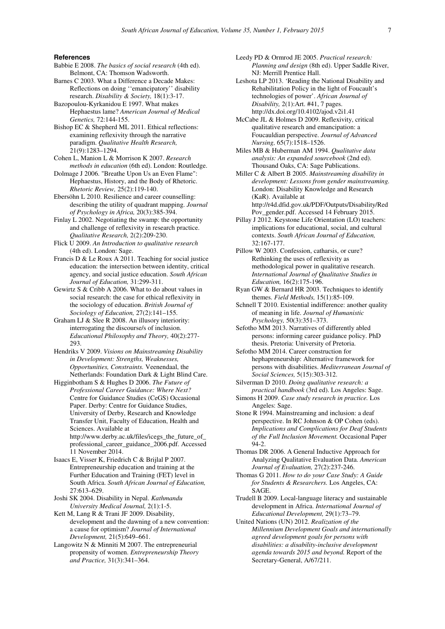#### **References**

- Babbie E 2008. *The basics of social research* (4th ed). Belmont, CA: Thomson Wadsworth.
- Barnes C 2003. What a Difference a Decade Makes: Reflections on doing ''emancipatory'' disability research. *Disability & Society,* 18(1):3-17.

Bazopoulou-Kyrkanidou E 1997. What makes Hephaestus lame? *American Journal of Medical Genetics,* 72:144-155.

Bishop EC & Shepherd ML 2011. Ethical reflections: examining reflexivity through the narrative paradigm. *Qualitative Health Research,* 21(9):1283–1294.

Cohen L, Manion L & Morrison K 2007. *Research methods in education* (6th ed). London: Routledge.

Dolmage J 2006. "Breathe Upon Us an Even Flame": Hephaestus, History, and the Body of Rhetoric. *Rhetoric Review,* 25(2):119-140.

Ebersöhn L 2010. Resilience and career counselling: describing the utility of quadrant mapping. *Journal of Psychology in Africa,* 20(3):385-394.

Finlay L 2002. Negotiating the swamp: the opportunity and challenge of reflexivity in research practice. *Qualitative Research,* 2(2):209-230.

Flick U 2009. *An Introduction to qualitative research* (4th ed). London: Sage.

Francis D & Le Roux A 2011. Teaching for social justice education: the intersection between identity, critical agency, and social justice education. *South African Journal of Education,* 31:299-311.

Gewirtz S & Cribb A 2006. What to do about values in social research: the case for ethical reflexivity in the sociology of education. *British Journal of Sociology of Education,* 27(2):141–155.

Graham LJ & Slee R 2008. An illusory interiority: interrogating the discourse/s of inclusion. *Educational Philosophy and Theory,* 40(2):277- 293.

Hendriks V 2009. *Visions on Mainstreaming Disability in Development: Strengths, Weaknesses, Opportunities, Constraints.* Veenendaal, the Netherlands: Foundation Dark & Light Blind Care.

Higginbotham S & Hughes D 2006. *The Future of Professional Career Guidance: Where Next?*  Centre for Guidance Studies (CeGS) Occasional Paper. Derby: Centre for Guidance Studies, University of Derby, Research and Knowledge Transfer Unit, Faculty of Education, Health and Sciences. Available at http://www.derby.ac.uk/files/icegs\_the\_future\_of\_ professional\_career\_guidance\_2006.pdf. Accessed 11 November 2014.

Isaacs E, Visser K, Friedrich C & Brijlal P 2007. Entrepreneurship education and training at the Further Education and Training (FET) level in South Africa. *South African Journal of Education,*  27:613–629.

Joshi SK 2004. Disability in Nepal. *Kathmandu University Medical Journal,* 2(1):1-5.

Kett M, Lang R & Trani JF 2009. Disability, development and the dawning of a new convention: a cause for optimism? *Journal of International Development,* 21(5):649–661.

Langowitz N & Minniti M 2007. The entrepreneurial propensity of women. *Entrepreneurship Theory and Practice,* 31(3):341–364.

Leedy PD & Ormrod JE 2005. *Practical research: Planning and design* (8th ed). Upper Saddle River, NJ: Merrill Prentice Hall.

Leshota LP 2013. 'Reading the National Disability and Rehabilitation Policy in the light of Foucault's technologies of power'. *African Journal of Disability,* 2(1):Art. #41, 7 pages. http://dx.doi.org/10.4102/ajod.v2i1.41

McCabe JL & Holmes D 2009. Reflexivity, critical qualitative research and emancipation: a Foucauldian perspective. *Journal of Advanced Nursing,* 65(7):1518–1526.

Miles MB & Huberman AM 1994. *Qualitative data analysis: An expanded sourcebook* (2nd ed). Thousand Oaks, CA: Sage Publications.

Miller C & Albert B 2005. *Mainstreaming disability in development: Lessons from gender mainstreaming.* London: Disability Knowledge and Research (KaR). Available at http://r4d.dfid.gov.uk/PDF/Outputs/Disability/Red Pov\_gender.pdf. Accessed 14 February 2015.

Pillay J 2012. Keystone Life Orientation (LO) teachers: implications for educational, social, and cultural contexts. *South African Journal of Education,*  32:167-177.

Pillow W 2003. Confession, catharsis, or cure? Rethinking the uses of reflexivity as methodological power in qualitative research. *International Journal of Qualitative Studies in Education,* 16(2):175-196.

- Ryan GW & Bernard HR 2003. Techniques to identify themes. *Field Methods,* 15(1):85-109.
- Schnell T 2010. Existential indifference: another quality of meaning in life. *Journal of Humanistic Psychology,* 50(3):351–373.

Sefotho MM 2013. Narratives of differently abled persons: informing career guidance policy. PhD thesis. Pretoria: University of Pretoria.

Sefotho MM 2014. Career construction for hephapreneurship: Alternative framework for persons with disabilities. *Mediterranean Journal of Social Sciences,* 5(15):303-312.

Silverman D 2010. *Doing qualitative research: a practical handbook* (3rd ed). Los Angeles: Sage.

Simons H 2009. *Case study research in practice.* Los Angeles: Sage.

- Stone R 1994. Mainstreaming and inclusion: a deaf perspective. In RC Johnson & OP Cohen (eds). *Implications and Complications for Deaf Students of the Full Inclusion Movement.* Occasional Paper 94-2.
- Thomas DR 2006. A General Inductive Approach for Analyzing Qualitative Evaluation Data. *American Journal of Evaluation,* 27(2):237-246.
- Thomas G 2011. *How to do your Case Study: A Guide for Students & Researchers.* Los Angeles, CA: SAGE.
- Trudell B 2009. Local-language literacy and sustainable development in Africa. *International Journal of Educational Development,* 29(1):73–79.

United Nations (UN) 2012. *Realization of the Millennium Development Goals and internationally agreed development goals for persons with disabilities: a disability-inclusive development agenda towards 2015 and beyond.* Report of the Secretary-General, A/67/211.